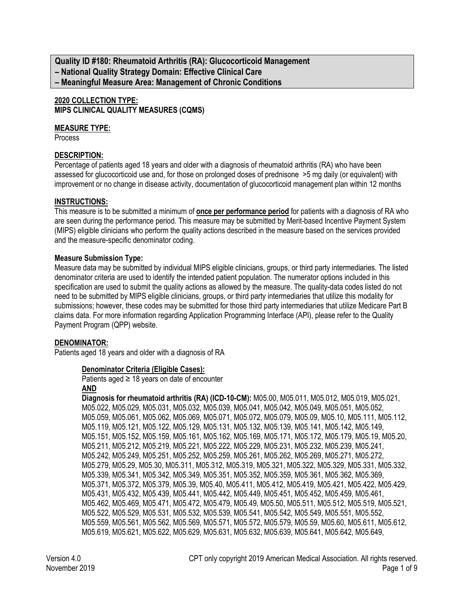**Quality ID #180: Rheumatoid Arthritis (RA): Glucocorticoid Management – National Quality Strategy Domain: Effective Clinical Care – Meaningful Measure Area: Management of Chronic Conditions**

### **2020 COLLECTION TYPE: MIPS CLINICAL QUALITY MEASURES (CQMS)**

### **MEASURE TYPE:**

Process

### **DESCRIPTION:**

Percentage of patients aged 18 years and older with a diagnosis of rheumatoid arthritis (RA) who have been assessed for glucocorticoid use and, for those on prolonged doses of prednisone >5 mg daily (or equivalent) with improvement or no change in disease activity, documentation of glucocorticoid management plan within 12 months

### **INSTRUCTIONS:**

This measure is to be submitted a minimum of **once per performance period** for patients with a diagnosis of RA who are seen during the performance period. This measure may be submitted by Merit-based Incentive Payment System (MIPS) eligible clinicians who perform the quality actions described in the measure based on the services provided and the measure-specific denominator coding.

### **Measure Submission Type:**

Measure data may be submitted by individual MIPS eligible clinicians, groups, or third party intermediaries. The listed denominator criteria are used to identify the intended patient population. The numerator options included in this specification are used to submit the quality actions as allowed by the measure. The quality-data codes listed do not need to be submitted by MIPS eligible clinicians, groups, or third party intermediaries that utilize this modality for submissions; however, these codes may be submitted for those third party intermediaries that utilize Medicare Part B claims data. For more information regarding Application Programming Interface (API), please refer to the Quality Payment Program (QPP) website.

### **DENOMINATOR:**

Patients aged 18 years and older with a diagnosis of RA

#### **Denominator Criteria (Eligible Cases):**

Patients aged  $\geq$  18 years on date of encounter **AND**

**Diagnosis for rheumatoid arthritis (RA) (ICD-10-CM):** M05.00, M05.011, M05.012, M05.019, M05.021, M05.022, M05.029, M05.031, M05.032, M05.039, M05.041, M05.042, M05.049, M05.051, M05.052, M05.059, M05.061, M05.062, M05.069, M05.071, M05.072, M05.079, M05.09, M05.10, M05.111, M05.112, M05.119, M05.121, M05.122, M05.129, M05.131, M05.132, M05.139, M05.141, M05.142, M05.149, M05.151, M05.152, M05.159, M05.161, M05.162, M05.169, M05.171, M05.172, M05.179, M05.19, M05.20, M05.211, M05.212, M05.219, M05.221, M05.222, M05.229, M05.231, M05.232, M05.239, M05.241, M05.242, M05.249, M05.251, M05.252, M05.259, M05.261, M05.262, M05.269, M05.271, M05.272, M05.279, M05.29, M05.30, M05.311, M05.312, M05.319, M05.321, M05.322, M05.329, M05.331, M05.332, M05.339, M05.341, M05.342, M05.349, M05.351, M05.352, M05.359, M05.361, M05.362, M05.369, M05.371, M05.372, M05.379, M05.39, M05.40, M05.411, M05.412, M05.419, M05.421, M05.422, M05.429, M05.431, M05.432, M05.439, M05.441, M05.442, M05.449, M05.451, M05.452, M05.459, M05.461, M05.462, M05.469, M05.471, M05.472, M05.479, M05.49, M05.50, M05.511, M05.512, M05.519, M05.521, M05.522, M05.529, M05.531, M05.532, M05.539, M05.541, M05.542, M05.549, M05.551, M05.552, M05.559, M05.561, M05.562, M05.569, M05.571, M05.572, M05.579, M05.59, M05.60, M05.611, M05.612, M05.619, M05.621, M05.622, M05.629, M05.631, M05.632, M05.639, M05.641, M05.642, M05.649,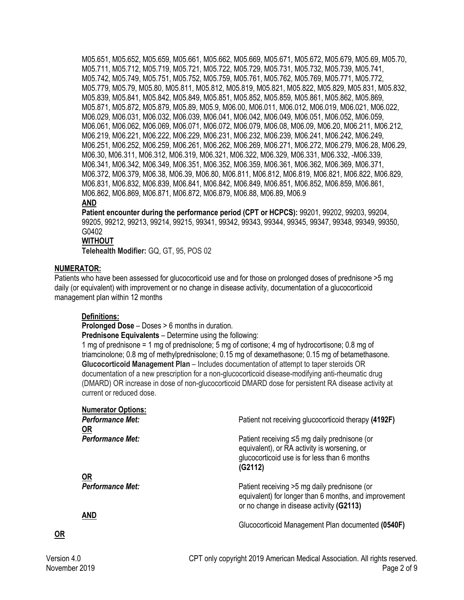M05.651, M05.652, M05.659, M05.661, M05.662, M05.669, M05.671, M05.672, M05.679, M05.69, M05.70, M05.711, M05.712, M05.719, M05.721, M05.722, M05.729, M05.731, M05.732, M05.739, M05.741, M05.742, M05.749, M05.751, M05.752, M05.759, M05.761, M05.762, M05.769, M05.771, M05.772, M05.779, M05.79, M05.80, M05.811, M05.812, M05.819, M05.821, M05.822, M05.829, M05.831, M05.832, M05.839, M05.841, M05.842, M05.849, M05.851, M05.852, M05.859, M05.861, M05.862, M05.869, M05.871, M05.872, M05.879, M05.89, M05.9, M06.00, M06.011, M06.012, M06.019, M06.021, M06.022, M06.029, M06.031, M06.032, M06.039, M06.041, M06.042, M06.049, M06.051, M06.052, M06.059, M06.061, M06.062, M06.069, M06.071, M06.072, M06.079, M06.08, M06.09, M06.20, M06.211, M06.212, M06.219, M06.221, M06.222, M06.229, M06.231, M06.232, M06.239, M06.241, M06.242, M06.249, M06.251, M06.252, M06.259, M06.261, M06.262, M06.269, M06.271, M06.272, M06.279, M06.28, M06.29, M06.30, M06.311, M06.312, M06.319, M06.321, M06.322, M06.329, M06.331, M06.332, -M06.339, M06.341, M06.342, M06.349, M06.351, M06.352, M06.359, M06.361, M06.362, M06.369, M06.371, M06.372, M06.379, M06.38, M06.39, M06.80, M06.811, M06.812, M06.819, M06.821, M06.822, M06.829, M06.831, M06.832, M06.839, M06.841, M06.842, M06.849, M06.851, M06.852, M06.859, M06.861, M06.862, M06.869, M06.871, M06.872, M06.879, M06.88, M06.89, M06.9

#### **AND**

**Patient encounter during the performance period (CPT or HCPCS):** 99201, 99202, 99203, 99204, 99205, 99212, 99213, 99214, 99215, 99341, 99342, 99343, 99344, 99345, 99347, 99348, 99349, 99350, G0402

#### **WITHOUT**

**Telehealth Modifier:** GQ, GT, 95, POS 02

### **NUMERATOR:**

Patients who have been assessed for glucocorticoid use and for those on prolonged doses of prednisone >5 mg daily (or equivalent) with improvement or no change in disease activity, documentation of a glucocorticoid management plan within 12 months

#### **Definitions:**

**Prolonged Dose** – Doses > 6 months in duration.

**Prednisone Equivalents** – Determine using the following:

1 mg of prednisone = 1 mg of prednisolone; 5 mg of cortisone; 4 mg of hydrocortisone; 0.8 mg of triamcinolone; 0.8 mg of methylprednisolone; 0.15 mg of dexamethasone; 0.15 mg of betamethasone. **Glucocorticoid Management Plan** – Includes documentation of attempt to taper steroids OR documentation of a new prescription for a non-glucocorticoid disease-modifying anti-rheumatic drug (DMARD) OR increase in dose of non-glucocorticoid DMARD dose for persistent RA disease activity at current or reduced dose.

| <b>Numerator Options:</b>            |                                                                                                                                                               |
|--------------------------------------|---------------------------------------------------------------------------------------------------------------------------------------------------------------|
| <b>Performance Met:</b>              | Patient not receiving glucocorticoid therapy (4192F)                                                                                                          |
| <b>OR</b><br><b>Performance Met:</b> | Patient receiving $\leq$ 5 mg daily prednisone (or<br>equivalent), or RA activity is worsening, or<br>glucocorticoid use is for less than 6 months<br>(G2112) |
| <u>OR</u><br><b>Performance Met:</b> | Patient receiving >5 mg daily prednisone (or<br>equivalent) for longer than 6 months, and improvement<br>or no change in disease activity (G2113)             |
| <b>AND</b>                           | Glucocorticoid Management Plan documented (0540F)                                                                                                             |
|                                      |                                                                                                                                                               |

**OR**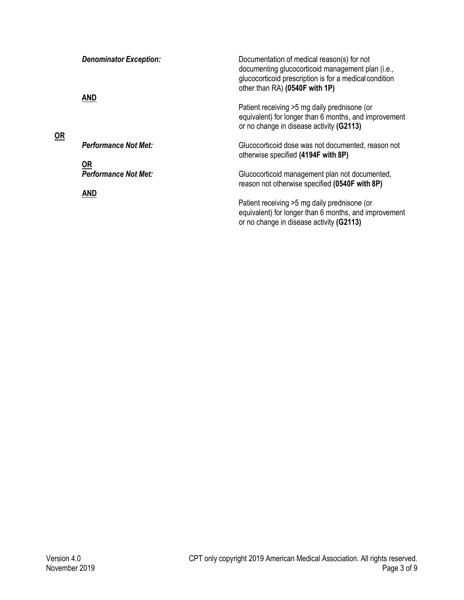| $OR$ | <b>Denominator Exception:</b><br>AND | Documentation of medical reason(s) for not<br>documenting glucocorticoid management plan (i.e.,<br>glucocorticoid prescription is for a medical condition<br>other than RA) (0540F with 1P)<br>Patient receiving >5 mg daily prednisone (or<br>equivalent) for longer than 6 months, and improvement<br>or no change in disease activity (G2113) |
|------|--------------------------------------|--------------------------------------------------------------------------------------------------------------------------------------------------------------------------------------------------------------------------------------------------------------------------------------------------------------------------------------------------|
|      | <b>Performance Not Met:</b>          | Glucocorticoid dose was not documented, reason not<br>otherwise specified (4194F with 8P)                                                                                                                                                                                                                                                        |
|      | <u>OR</u>                            |                                                                                                                                                                                                                                                                                                                                                  |
|      | <b>Performance Not Met:</b>          | Glucocorticoid management plan not documented,<br>reason not otherwise specified (0540F with 8P)                                                                                                                                                                                                                                                 |
|      | <b>AND</b>                           |                                                                                                                                                                                                                                                                                                                                                  |
|      |                                      | Patient receiving >5 mg daily prednisone (or<br>equivalent) for longer than 6 months, and improvement<br>or no change in disease activity (G2113)                                                                                                                                                                                                |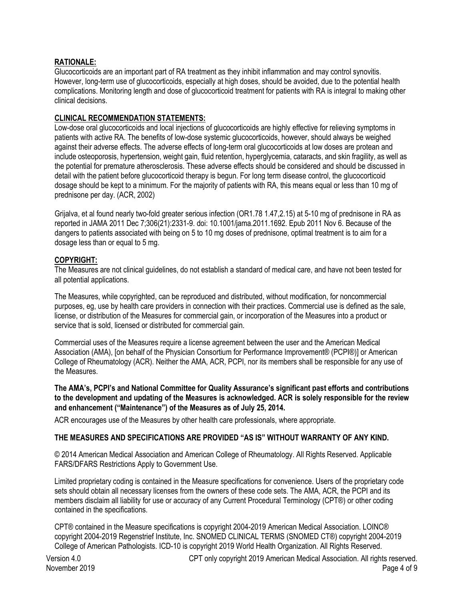## **RATIONALE:**

Glucocorticoids are an important part of RA treatment as they inhibit inflammation and may control synovitis. However, long-term use of glucocorticoids, especially at high doses, should be avoided, due to the potential health complications. Monitoring length and dose of glucocorticoid treatment for patients with RA is integral to making other clinical decisions.

## **CLINICAL RECOMMENDATION STATEMENTS:**

Low-dose oral glucocorticoids and local injections of glucocorticoids are highly effective for relieving symptoms in patients with active RA. The benefits of low-dose systemic glucocorticoids, however, should always be weighed against their adverse effects. The adverse effects of long-term oral glucocorticoids at low doses are protean and include osteoporosis, hypertension, weight gain, fluid retention, hyperglycemia, cataracts, and skin fragility, as well as the potential for premature atherosclerosis. These adverse effects should be considered and should be discussed in detail with the patient before glucocorticoid therapy is begun. For long term disease control, the glucocorticoid dosage should be kept to a minimum. For the majority of patients with RA, this means equal or less than 10 mg of prednisone per day. (ACR, 2002)

Grijalva, et al found nearly two-fold greater serious infection (OR1.78 1.47,2.15) at 5-10 mg of prednisone in RA as reported in JAMA 2011 Dec 7;306(21):2331-9. doi: 10.1001/jama.2011.1692. Epub 2011 Nov 6. Because of the dangers to patients associated with being on 5 to 10 mg doses of prednisone, optimal treatment is to aim for a dosage less than or equal to 5 mg.

### **COPYRIGHT:**

The Measures are not clinical guidelines, do not establish a standard of medical care, and have not been tested for all potential applications.

The Measures, while copyrighted, can be reproduced and distributed, without modification, for noncommercial purposes, eg, use by health care providers in connection with their practices. Commercial use is defined as the sale, license, or distribution of the Measures for commercial gain, or incorporation of the Measures into a product or service that is sold, licensed or distributed for commercial gain.

Commercial uses of the Measures require a license agreement between the user and the American Medical Association (AMA), [on behalf of the Physician Consortium for Performance Improvement® (PCPI®)] or American College of Rheumatology (ACR). Neither the AMA, ACR, PCPI, nor its members shall be responsible for any use of the Measures.

**The AMA's, PCPI's and National Committee for Quality Assurance's significant past efforts and contributions to the development and updating of the Measures is acknowledged. ACR is solely responsible for the review and enhancement ("Maintenance") of the Measures as of July 25, 2014.**

ACR encourages use of the Measures by other health care professionals, where appropriate.

### **THE MEASURES AND SPECIFICATIONS ARE PROVIDED "AS IS" WITHOUT WARRANTY OF ANY KIND.**

© 2014 American Medical Association and American College of Rheumatology. All Rights Reserved. Applicable FARS/DFARS Restrictions Apply to Government Use.

Limited proprietary coding is contained in the Measure specifications for convenience. Users of the proprietary code sets should obtain all necessary licenses from the owners of these code sets. The AMA, ACR, the PCPI and its members disclaim all liability for use or accuracy of any Current Procedural Terminology (CPT®) or other coding contained in the specifications.

CPT® contained in the Measure specifications is copyright 2004-2019 American Medical Association. LOINC® copyright 2004-2019 Regenstrief Institute, Inc. SNOMED CLINICAL TERMS (SNOMED CT®) copyright 2004-2019 College of American Pathologists. ICD-10 is copyright 2019 World Health Organization. All Rights Reserved.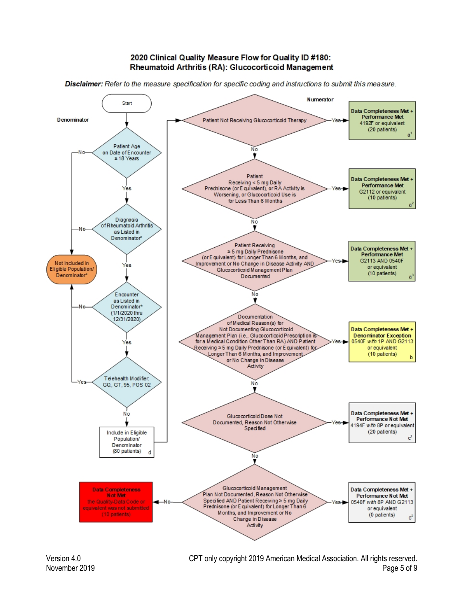#### 2020 Clinical Quality Measure Flow for Quality ID #180: Rheumatoid Arthritis (RA): Glucocorticoid Management

Disclaimer: Refer to the measure specification for specific coding and instructions to submit this measure.

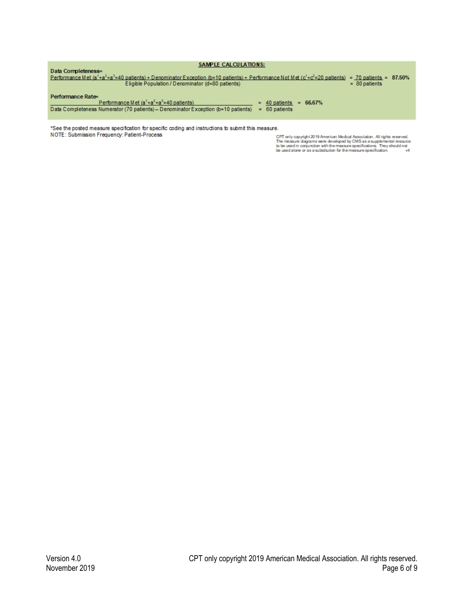| SAMPLE CALCULATIONS:                                                                                                                                               |  |  |  |  |
|--------------------------------------------------------------------------------------------------------------------------------------------------------------------|--|--|--|--|
| Data Completeness=                                                                                                                                                 |  |  |  |  |
| Performance Met $(a^1 + a^2 + a^3 = 40$ patients) + Denominator Exception (b=10 patients) + Performance Not Met $(c^1 + c^2 = 20$ patients) = 70 patients = 87.50% |  |  |  |  |
| Eligible Population / Denominator (d=80 patients)<br>$= 80$ patients                                                                                               |  |  |  |  |
| Performance Rate=<br>Performance Met $(a^1+a^2+a^3=40$ patients)<br>$= 66.67\%$<br>$=$ 40 patients                                                                 |  |  |  |  |
| Data Completeness Numerator (70 patients) - Denominator Exception (b=10 patients)<br>$= 60$ patients                                                               |  |  |  |  |
|                                                                                                                                                                    |  |  |  |  |

\*See the posted measure specification for specific coding and instructions to submit this measure. NOTE: Submission Frequency: Patient-Process

CPT only copyright 2019 American Medical Association. All rights reserved.<br>The measure diagrams were developed by CMS as a supplemental resource<br>to be used in conjunction with the measure specifications. They should not<br>be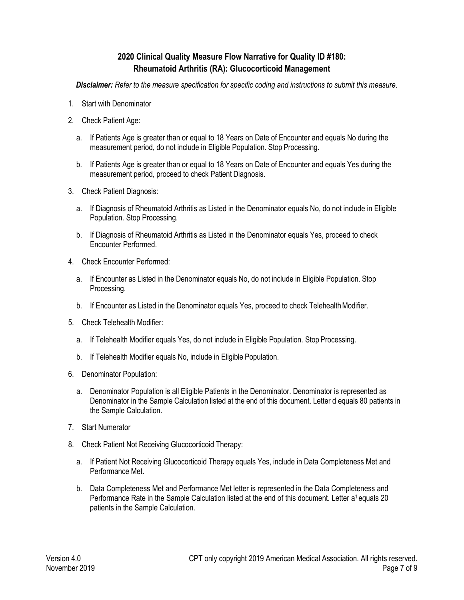# **2020 Clinical Quality Measure Flow Narrative for Quality ID #180: Rheumatoid Arthritis (RA): Glucocorticoid Management**

*Disclaimer: Refer to the measure specification for specific coding and instructions to submit this measure*.

- 1. Start with Denominator
- 2. Check Patient Age:
	- a. If Patients Age is greater than or equal to 18 Years on Date of Encounter and equals No during the measurement period, do not include in Eligible Population. Stop Processing.
	- b. If Patients Age is greater than or equal to 18 Years on Date of Encounter and equals Yes during the measurement period, proceed to check Patient Diagnosis.
- 3. Check Patient Diagnosis:
	- a. If Diagnosis of Rheumatoid Arthritis as Listed in the Denominator equals No, do not include in Eligible Population. Stop Processing.
	- b. If Diagnosis of Rheumatoid Arthritis as Listed in the Denominator equals Yes, proceed to check Encounter Performed.
- 4. Check Encounter Performed:
	- a. If Encounter as Listed in the Denominator equals No, do not include in Eligible Population. Stop Processing.
	- b. If Encounter as Listed in the Denominator equals Yes, proceed to check Telehealth Modifier.
- 5. Check Telehealth Modifier:
	- a. If Telehealth Modifier equals Yes, do not include in Eligible Population. Stop Processing.
	- b. If Telehealth Modifier equals No, include in Eligible Population.
- 6. Denominator Population:
	- a. Denominator Population is all Eligible Patients in the Denominator. Denominator is represented as Denominator in the Sample Calculation listed at the end of this document. Letter d equals 80 patients in the Sample Calculation.
- 7. Start Numerator
- 8. Check Patient Not Receiving Glucocorticoid Therapy:
	- a. If Patient Not Receiving Glucocorticoid Therapy equals Yes, include in Data Completeness Met and Performance Met.
	- b. Data Completeness Met and Performance Met letter is represented in the Data Completeness and Performance Rate in the Sample Calculation listed at the end of this document. Letter a<sup>1</sup> equals 20 patients in the Sample Calculation.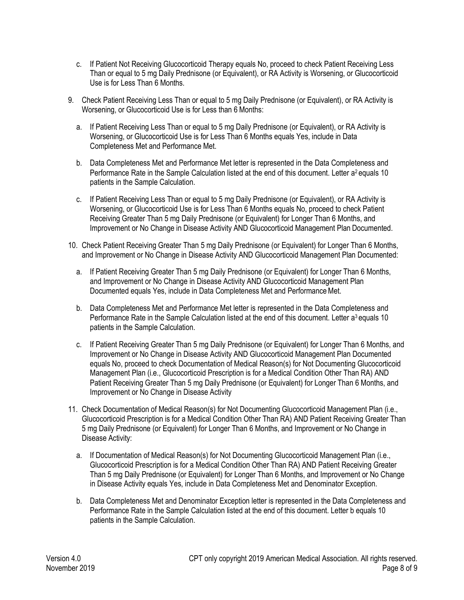- c. If Patient Not Receiving Glucocorticoid Therapy equals No, proceed to check Patient Receiving Less Than or equal to 5 mg Daily Prednisone (or Equivalent), or RA Activity is Worsening, or Glucocorticoid Use is for Less Than 6 Months.
- 9. Check Patient Receiving Less Than or equal to 5 mg Daily Prednisone (or Equivalent), or RA Activity is Worsening, or Glucocorticoid Use is for Less than 6 Months:
	- a. If Patient Receiving Less Than or equal to 5 mg Daily Prednisone (or Equivalent), or RA Activity is Worsening, or Glucocorticoid Use is for Less Than 6 Months equals Yes, include in Data Completeness Met and Performance Met.
	- b. Data Completeness Met and Performance Met letter is represented in the Data Completeness and Performance Rate in the Sample Calculation listed at the end of this document. Letter  $a^2$  equals 10 patients in the Sample Calculation.
	- c. If Patient Receiving Less Than or equal to 5 mg Daily Prednisone (or Equivalent), or RA Activity is Worsening, or Glucocorticoid Use is for Less Than 6 Months equals No, proceed to check Patient Receiving Greater Than 5 mg Daily Prednisone (or Equivalent) for Longer Than 6 Months, and Improvement or No Change in Disease Activity AND Glucocorticoid Management Plan Documented.
- 10. Check Patient Receiving Greater Than 5 mg Daily Prednisone (or Equivalent) for Longer Than 6 Months, and Improvement or No Change in Disease Activity AND Glucocorticoid Management Plan Documented:
	- a. If Patient Receiving Greater Than 5 mg Daily Prednisone (or Equivalent) for Longer Than 6 Months, and Improvement or No Change in Disease Activity AND Glucocorticoid Management Plan Documented equals Yes, include in Data Completeness Met and Performance Met.
	- b. Data Completeness Met and Performance Met letter is represented in the Data Completeness and Performance Rate in the Sample Calculation listed at the end of this document. Letter a<sup>3</sup> equals 10 patients in the Sample Calculation.
	- c. If Patient Receiving Greater Than 5 mg Daily Prednisone (or Equivalent) for Longer Than 6 Months, and Improvement or No Change in Disease Activity AND Glucocorticoid Management Plan Documented equals No, proceed to check Documentation of Medical Reason(s) for Not Documenting Glucocorticoid Management Plan (i.e., Glucocorticoid Prescription is for a Medical Condition Other Than RA) AND Patient Receiving Greater Than 5 mg Daily Prednisone (or Equivalent) for Longer Than 6 Months, and Improvement or No Change in Disease Activity
- 11. Check Documentation of Medical Reason(s) for Not Documenting Glucocorticoid Management Plan (i.e., Glucocorticoid Prescription is for a Medical Condition Other Than RA) AND Patient Receiving Greater Than 5 mg Daily Prednisone (or Equivalent) for Longer Than 6 Months, and Improvement or No Change in Disease Activity:
	- a. If Documentation of Medical Reason(s) for Not Documenting Glucocorticoid Management Plan (i.e., Glucocorticoid Prescription is for a Medical Condition Other Than RA) AND Patient Receiving Greater Than 5 mg Daily Prednisone (or Equivalent) for Longer Than 6 Months, and Improvement or No Change in Disease Activity equals Yes, include in Data Completeness Met and Denominator Exception.
	- b. Data Completeness Met and Denominator Exception letter is represented in the Data Completeness and Performance Rate in the Sample Calculation listed at the end of this document. Letter b equals 10 patients in the Sample Calculation.